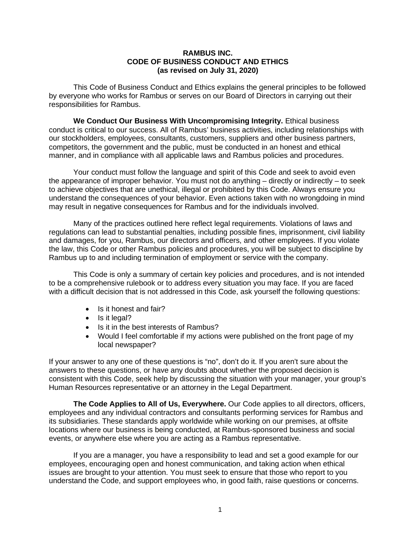## **RAMBUS INC. CODE OF BUSINESS CONDUCT AND ETHICS (as revised on July 31, 2020)**

This Code of Business Conduct and Ethics explains the general principles to be followed by everyone who works for Rambus or serves on our Board of Directors in carrying out their responsibilities for Rambus.

**We Conduct Our Business With Uncompromising Integrity.** Ethical business conduct is critical to our success. All of Rambus' business activities, including relationships with our stockholders, employees, consultants, customers, suppliers and other business partners, competitors, the government and the public, must be conducted in an honest and ethical manner, and in compliance with all applicable laws and Rambus policies and procedures.

Your conduct must follow the language and spirit of this Code and seek to avoid even the appearance of improper behavior. You must not do anything – directly or indirectly – to seek to achieve objectives that are unethical, illegal or prohibited by this Code. Always ensure you understand the consequences of your behavior. Even actions taken with no wrongdoing in mind may result in negative consequences for Rambus and for the individuals involved.

Many of the practices outlined here reflect legal requirements. Violations of laws and regulations can lead to substantial penalties, including possible fines, imprisonment, civil liability and damages, for you, Rambus, our directors and officers, and other employees. If you violate the law, this Code or other Rambus policies and procedures, you will be subject to discipline by Rambus up to and including termination of employment or service with the company.

This Code is only a summary of certain key policies and procedures, and is not intended to be a comprehensive rulebook or to address every situation you may face. If you are faced with a difficult decision that is not addressed in this Code, ask yourself the following questions:

- Is it honest and fair?
- Is it legal?
- Is it in the best interests of Rambus?
- Would I feel comfortable if my actions were published on the front page of my local newspaper?

If your answer to any one of these questions is "no", don't do it. If you aren't sure about the answers to these questions, or have any doubts about whether the proposed decision is consistent with this Code, seek help by discussing the situation with your manager, your group's Human Resources representative or an attorney in the Legal Department.

**The Code Applies to All of Us, Everywhere.** Our Code applies to all directors, officers, employees and any individual contractors and consultants performing services for Rambus and its subsidiaries. These standards apply worldwide while working on our premises, at offsite locations where our business is being conducted, at Rambus-sponsored business and social events, or anywhere else where you are acting as a Rambus representative.

If you are a manager, you have a responsibility to lead and set a good example for our employees, encouraging open and honest communication, and taking action when ethical issues are brought to your attention. You must seek to ensure that those who report to you understand the Code, and support employees who, in good faith, raise questions or concerns.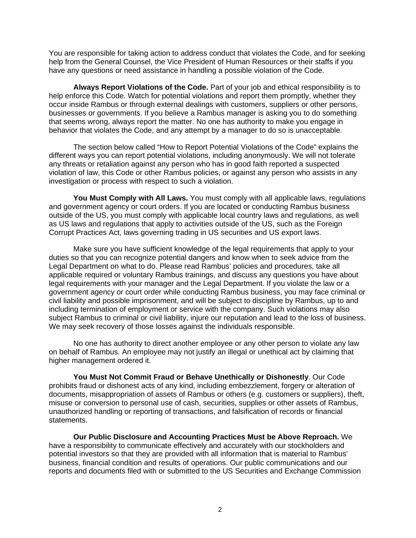You are responsible for taking action to address conduct that violates the Code, and for seeking help from the General Counsel, the Vice President of Human Resources or their staffs if you have any questions or need assistance in handling a possible violation of the Code.

**Always Report Violations of the Code.** Part of your job and ethical responsibility is to help enforce this Code. Watch for potential violations and report them promptly, whether they occur inside Rambus or through external dealings with customers, suppliers or other persons, businesses or governments. If you believe a Rambus manager is asking you to do something that seems wrong, always report the matter. No one has authority to make you engage in behavior that violates the Code, and any attempt by a manager to do so is unacceptable.

The section below called "How to Report Potential Violations of the Code" explains the different ways you can report potential violations, including anonymously. We will not tolerate any threats or retaliation against any person who has in good faith reported a suspected violation of law, this Code or other Rambus policies, or against any person who assists in any investigation or process with respect to such a violation.

**You Must Comply with All Laws.** You must comply with all applicable laws, regulations and government agency or court orders. If you are located or conducting Rambus business outside of the US, you must comply with applicable local country laws and regulations, as well as US laws and regulations that apply to activities outside of the US, such as the Foreign Corrupt Practices Act, laws governing trading in US securities and US export laws.

Make sure you have sufficient knowledge of the legal requirements that apply to your duties so that you can recognize potential dangers and know when to seek advice from the Legal Department on what to do. Please read Rambus' policies and procedures, take all applicable required or voluntary Rambus trainings, and discuss any questions you have about legal requirements with your manager and the Legal Department. If you violate the law or a government agency or court order while conducting Rambus business, you may face criminal or civil liability and possible imprisonment, and will be subject to discipline by Rambus, up to and including termination of employment or service with the company. Such violations may also subject Rambus to criminal or civil liability, injure our reputation and lead to the loss of business. We may seek recovery of those losses against the individuals responsible.

No one has authority to direct another employee or any other person to violate any law on behalf of Rambus. An employee may not justify an illegal or unethical act by claiming that higher management ordered it.

**You Must Not Commit Fraud or Behave Unethically or Dishonestly**. Our Code prohibits fraud or dishonest acts of any kind, including embezzlement, forgery or alteration of documents, misappropriation of assets of Rambus or others (e.g. customers or suppliers), theft, misuse or conversion to personal use of cash, securities, supplies or other assets of Rambus, unauthorized handling or reporting of transactions, and falsification of records or financial statements.

**Our Public Disclosure and Accounting Practices Must be Above Reproach.** We have a responsibility to communicate effectively and accurately with our stockholders and potential investors so that they are provided with all information that is material to Rambus' business, financial condition and results of operations. Our public communications and our reports and documents filed with or submitted to the US Securities and Exchange Commission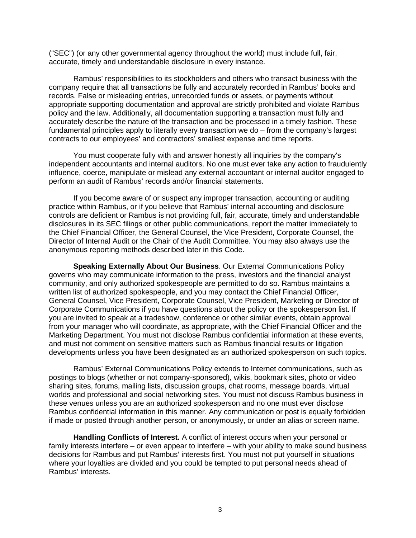("SEC") (or any other governmental agency throughout the world) must include full, fair, accurate, timely and understandable disclosure in every instance.

Rambus' responsibilities to its stockholders and others who transact business with the company require that all transactions be fully and accurately recorded in Rambus' books and records. False or misleading entries, unrecorded funds or assets, or payments without appropriate supporting documentation and approval are strictly prohibited and violate Rambus policy and the law. Additionally, all documentation supporting a transaction must fully and accurately describe the nature of the transaction and be processed in a timely fashion. These fundamental principles apply to literally every transaction we do – from the company's largest contracts to our employees' and contractors' smallest expense and time reports.

You must cooperate fully with and answer honestly all inquiries by the company's independent accountants and internal auditors. No one must ever take any action to fraudulently influence, coerce, manipulate or mislead any external accountant or internal auditor engaged to perform an audit of Rambus' records and/or financial statements.

If you become aware of or suspect any improper transaction, accounting or auditing practice within Rambus, or if you believe that Rambus' internal accounting and disclosure controls are deficient or Rambus is not providing full, fair, accurate, timely and understandable disclosures in its SEC filings or other public communications, report the matter immediately to the Chief Financial Officer, the General Counsel, the Vice President, Corporate Counsel, the Director of Internal Audit or the Chair of the Audit Committee. You may also always use the anonymous reporting methods described later in this Code.

**Speaking Externally About Our Business**. Our External Communications Policy governs who may communicate information to the press, investors and the financial analyst community, and only authorized spokespeople are permitted to do so. Rambus maintains a written list of authorized spokespeople, and you may contact the Chief Financial Officer, General Counsel, Vice President, Corporate Counsel, Vice President, Marketing or Director of Corporate Communications if you have questions about the policy or the spokesperson list. If you are invited to speak at a tradeshow, conference or other similar events, obtain approval from your manager who will coordinate, as appropriate, with the Chief Financial Officer and the Marketing Department. You must not disclose Rambus confidential information at these events, and must not comment on sensitive matters such as Rambus financial results or litigation developments unless you have been designated as an authorized spokesperson on such topics.

Rambus' External Communications Policy extends to Internet communications, such as postings to blogs (whether or not company-sponsored), wikis, bookmark sites, photo or video sharing sites, forums, mailing lists, discussion groups, chat rooms, message boards, virtual worlds and professional and social networking sites. You must not discuss Rambus business in these venues unless you are an authorized spokesperson and no one must ever disclose Rambus confidential information in this manner. Any communication or post is equally forbidden if made or posted through another person, or anonymously, or under an alias or screen name.

**Handling Conflicts of Interest.** A conflict of interest occurs when your personal or family interests interfere – or even appear to interfere – with your ability to make sound business decisions for Rambus and put Rambus' interests first. You must not put yourself in situations where your loyalties are divided and you could be tempted to put personal needs ahead of Rambus' interests.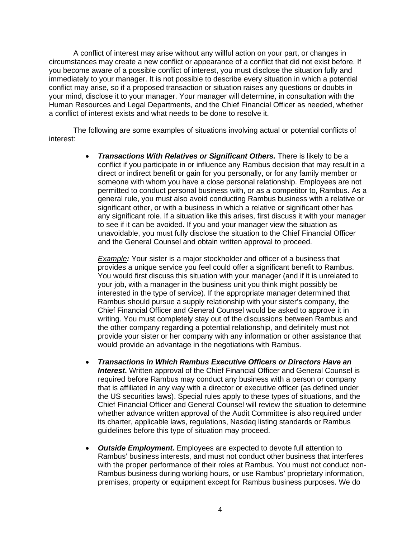A conflict of interest may arise without any willful action on your part, or changes in circumstances may create a new conflict or appearance of a conflict that did not exist before. If you become aware of a possible conflict of interest, you must disclose the situation fully and immediately to your manager. It is not possible to describe every situation in which a potential conflict may arise, so if a proposed transaction or situation raises any questions or doubts in your mind, disclose it to your manager. Your manager will determine, in consultation with the Human Resources and Legal Departments, and the Chief Financial Officer as needed, whether a conflict of interest exists and what needs to be done to resolve it.

The following are some examples of situations involving actual or potential conflicts of interest:

> • *Transactions With Relatives or Significant Others.* There is likely to be a conflict if you participate in or influence any Rambus decision that may result in a direct or indirect benefit or gain for you personally, or for any family member or someone with whom you have a close personal relationship. Employees are not permitted to conduct personal business with, or as a competitor to, Rambus. As a general rule, you must also avoid conducting Rambus business with a relative or significant other, or with a business in which a relative or significant other has any significant role. If a situation like this arises, first discuss it with your manager to see if it can be avoided. If you and your manager view the situation as unavoidable, you must fully disclose the situation to the Chief Financial Officer and the General Counsel and obtain written approval to proceed.

*Example:* Your sister is a major stockholder and officer of a business that provides a unique service you feel could offer a significant benefit to Rambus. You would first discuss this situation with your manager (and if it is unrelated to your job, with a manager in the business unit you think might possibly be interested in the type of service). If the appropriate manager determined that Rambus should pursue a supply relationship with your sister's company, the Chief Financial Officer and General Counsel would be asked to approve it in writing. You must completely stay out of the discussions between Rambus and the other company regarding a potential relationship, and definitely must not provide your sister or her company with any information or other assistance that would provide an advantage in the negotiations with Rambus.

- *Transactions in Which Rambus Executive Officers or Directors Have an Interest***.** Written approval of the Chief Financial Officer and General Counsel is required before Rambus may conduct any business with a person or company that is affiliated in any way with a director or executive officer (as defined under the US securities laws). Special rules apply to these types of situations, and the Chief Financial Officer and General Counsel will review the situation to determine whether advance written approval of the Audit Committee is also required under its charter, applicable laws, regulations, Nasdaq listing standards or Rambus guidelines before this type of situation may proceed.
- *Outside Employment.* Employees are expected to devote full attention to Rambus' business interests, and must not conduct other business that interferes with the proper performance of their roles at Rambus. You must not conduct non-Rambus business during working hours, or use Rambus' proprietary information, premises, property or equipment except for Rambus business purposes. We do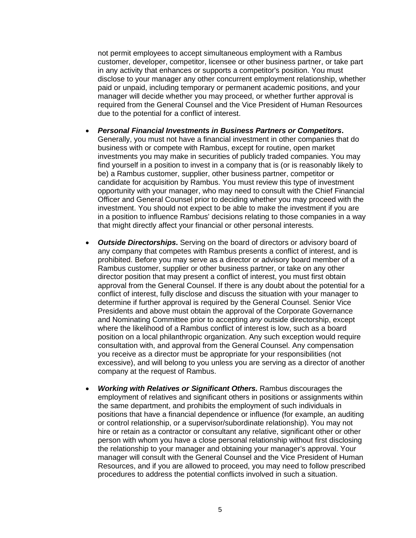not permit employees to accept simultaneous employment with a Rambus customer, developer, competitor, licensee or other business partner, or take part in any activity that enhances or supports a competitor's position. You must disclose to your manager any other concurrent employment relationship, whether paid or unpaid, including temporary or permanent academic positions, and your manager will decide whether you may proceed, or whether further approval is required from the General Counsel and the Vice President of Human Resources due to the potential for a conflict of interest.

- *Personal Financial Investments in Business Partners or Competitors***.** Generally, you must not have a financial investment in other companies that do business with or compete with Rambus, except for routine, open market investments you may make in securities of publicly traded companies. You may find yourself in a position to invest in a company that is (or is reasonably likely to be) a Rambus customer, supplier, other business partner, competitor or candidate for acquisition by Rambus. You must review this type of investment opportunity with your manager, who may need to consult with the Chief Financial Officer and General Counsel prior to deciding whether you may proceed with the investment. You should not expect to be able to make the investment if you are in a position to influence Rambus' decisions relating to those companies in a way that might directly affect your financial or other personal interests.
- *Outside Directorships***.** Serving on the board of directors or advisory board of any company that competes with Rambus presents a conflict of interest, and is prohibited. Before you may serve as a director or advisory board member of a Rambus customer, supplier or other business partner, or take on any other director position that may present a conflict of interest, you must first obtain approval from the General Counsel. If there is any doubt about the potential for a conflict of interest, fully disclose and discuss the situation with your manager to determine if further approval is required by the General Counsel. Senior Vice Presidents and above must obtain the approval of the Corporate Governance and Nominating Committee prior to accepting *any* outside directorship, except where the likelihood of a Rambus conflict of interest is low, such as a board position on a local philanthropic organization. Any such exception would require consultation with, and approval from the General Counsel. Any compensation you receive as a director must be appropriate for your responsibilities (not excessive), and will belong to you unless you are serving as a director of another company at the request of Rambus.
- *Working with Relatives or Significant Others.* Rambus discourages the employment of relatives and significant others in positions or assignments within the same department, and prohibits the employment of such individuals in positions that have a financial dependence or influence (for example, an auditing or control relationship, or a supervisor/subordinate relationship). You may not hire or retain as a contractor or consultant any relative, significant other or other person with whom you have a close personal relationship without first disclosing the relationship to your manager and obtaining your manager's approval. Your manager will consult with the General Counsel and the Vice President of Human Resources, and if you are allowed to proceed, you may need to follow prescribed procedures to address the potential conflicts involved in such a situation.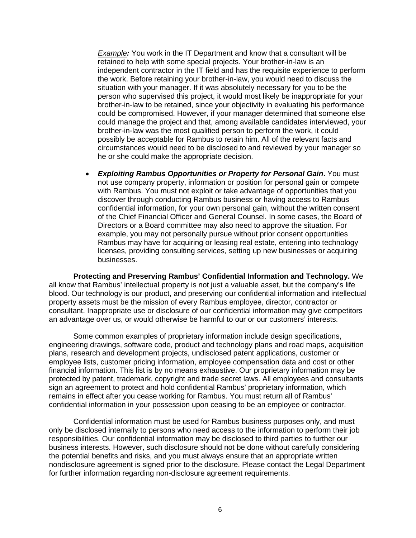*Example:* You work in the IT Department and know that a consultant will be retained to help with some special projects. Your brother-in-law is an independent contractor in the IT field and has the requisite experience to perform the work. Before retaining your brother-in-law, you would need to discuss the situation with your manager. If it was absolutely necessary for you to be the person who supervised this project, it would most likely be inappropriate for your brother-in-law to be retained, since your objectivity in evaluating his performance could be compromised. However, if your manager determined that someone else could manage the project and that, among available candidates interviewed, your brother-in-law was the most qualified person to perform the work, it could possibly be acceptable for Rambus to retain him. All of the relevant facts and circumstances would need to be disclosed to and reviewed by your manager so he or she could make the appropriate decision.

• *Exploiting Rambus Opportunities or Property for Personal Gain***.** You must not use company property, information or position for personal gain or compete with Rambus. You must not exploit or take advantage of opportunities that you discover through conducting Rambus business or having access to Rambus confidential information, for your own personal gain, without the written consent of the Chief Financial Officer and General Counsel. In some cases, the Board of Directors or a Board committee may also need to approve the situation. For example, you may not personally pursue without prior consent opportunities Rambus may have for acquiring or leasing real estate, entering into technology licenses, providing consulting services, setting up new businesses or acquiring businesses.

**Protecting and Preserving Rambus' Confidential Information and Technology.** We all know that Rambus' intellectual property is not just a valuable asset, but the company's life blood. Our technology is our product, and preserving our confidential information and intellectual property assets must be the mission of every Rambus employee, director, contractor or consultant. Inappropriate use or disclosure of our confidential information may give competitors an advantage over us, or would otherwise be harmful to our or our customers' interests.

Some common examples of proprietary information include design specifications, engineering drawings, software code, product and technology plans and road maps, acquisition plans, research and development projects, undisclosed patent applications, customer or employee lists, customer pricing information, employee compensation data and cost or other financial information. This list is by no means exhaustive. Our proprietary information may be protected by patent, trademark, copyright and trade secret laws. All employees and consultants sign an agreement to protect and hold confidential Rambus' proprietary information, which remains in effect after you cease working for Rambus. You must return all of Rambus' confidential information in your possession upon ceasing to be an employee or contractor.

Confidential information must be used for Rambus business purposes only, and must only be disclosed internally to persons who need access to the information to perform their job responsibilities. Our confidential information may be disclosed to third parties to further our business interests. However, such disclosure should not be done without carefully considering the potential benefits and risks, and you must always ensure that an appropriate written nondisclosure agreement is signed prior to the disclosure. Please contact the Legal Department for further information regarding non-disclosure agreement requirements.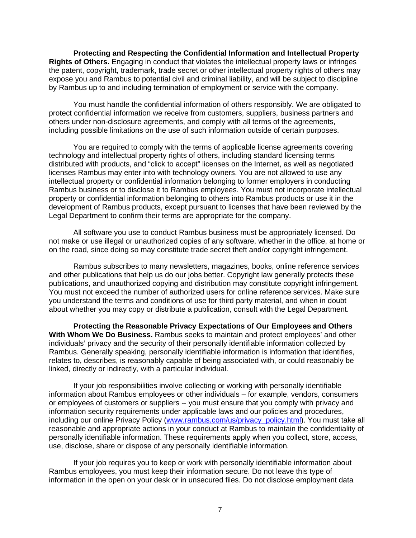**Protecting and Respecting the Confidential Information and Intellectual Property Rights of Others.** Engaging in conduct that violates the intellectual property laws or infringes the patent, copyright, trademark, trade secret or other intellectual property rights of others may expose you and Rambus to potential civil and criminal liability, and will be subject to discipline by Rambus up to and including termination of employment or service with the company.

You must handle the confidential information of others responsibly. We are obligated to protect confidential information we receive from customers, suppliers, business partners and others under non-disclosure agreements, and comply with all terms of the agreements, including possible limitations on the use of such information outside of certain purposes.

You are required to comply with the terms of applicable license agreements covering technology and intellectual property rights of others, including standard licensing terms distributed with products, and "click to accept" licenses on the Internet, as well as negotiated licenses Rambus may enter into with technology owners. You are not allowed to use any intellectual property or confidential information belonging to former employers in conducting Rambus business or to disclose it to Rambus employees. You must not incorporate intellectual property or confidential information belonging to others into Rambus products or use it in the development of Rambus products, except pursuant to licenses that have been reviewed by the Legal Department to confirm their terms are appropriate for the company.

All software you use to conduct Rambus business must be appropriately licensed. Do not make or use illegal or unauthorized copies of any software, whether in the office, at home or on the road, since doing so may constitute trade secret theft and/or copyright infringement.

Rambus subscribes to many newsletters, magazines, books, online reference services and other publications that help us do our jobs better. Copyright law generally protects these publications, and unauthorized copying and distribution may constitute copyright infringement. You must not exceed the number of authorized users for online reference services. Make sure you understand the terms and conditions of use for third party material, and when in doubt about whether you may copy or distribute a publication, consult with the Legal Department.

**Protecting the Reasonable Privacy Expectations of Our Employees and Others With Whom We Do Business.** Rambus seeks to maintain and protect employees' and other individuals' privacy and the security of their personally identifiable information collected by Rambus. Generally speaking, personally identifiable information is information that identifies, relates to, describes, is reasonably capable of being associated with, or could reasonably be linked, directly or indirectly, with a particular individual.

If your job responsibilities involve collecting or working with personally identifiable information about Rambus employees or other individuals – for example, vendors, consumers or employees of customers or suppliers -- you must ensure that you comply with privacy and information security requirements under applicable laws and our policies and procedures, including our online Privacy Policy [\(www.rambus.com/us/privacy\\_policy.html\)](http://www.rambus.com/us/privacy_policy.html). You must take all reasonable and appropriate actions in your conduct at Rambus to maintain the confidentiality of personally identifiable information. These requirements apply when you collect, store, access, use, disclose, share or dispose of any personally identifiable information.

If your job requires you to keep or work with personally identifiable information about Rambus employees, you must keep their information secure. Do not leave this type of information in the open on your desk or in unsecured files. Do not disclose employment data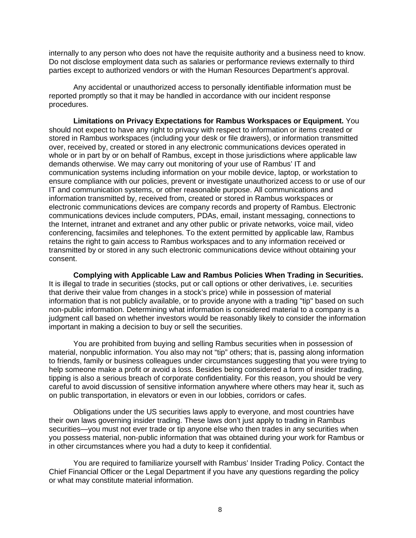internally to any person who does not have the requisite authority and a business need to know. Do not disclose employment data such as salaries or performance reviews externally to third parties except to authorized vendors or with the Human Resources Department's approval.

Any accidental or unauthorized access to personally identifiable information must be reported promptly so that it may be handled in accordance with our incident response procedures.

**Limitations on Privacy Expectations for Rambus Workspaces or Equipment.** You should not expect to have any right to privacy with respect to information or items created or stored in Rambus workspaces (including your desk or file drawers), or information transmitted over, received by, created or stored in any electronic communications devices operated in whole or in part by or on behalf of Rambus, except in those jurisdictions where applicable law demands otherwise. We may carry out monitoring of your use of Rambus' IT and communication systems including information on your mobile device, laptop, or workstation to ensure compliance with our policies, prevent or investigate unauthorized access to or use of our IT and communication systems, or other reasonable purpose. All communications and information transmitted by, received from, created or stored in Rambus workspaces or electronic communications devices are company records and property of Rambus. Electronic communications devices include computers, PDAs, email, instant messaging, connections to the Internet, intranet and extranet and any other public or private networks, voice mail, video conferencing, facsimiles and telephones. To the extent permitted by applicable law, Rambus retains the right to gain access to Rambus workspaces and to any information received or transmitted by or stored in any such electronic communications device without obtaining your consent.

**Complying with Applicable Law and Rambus Policies When Trading in Securities.** It is illegal to trade in securities (stocks, put or call options or other derivatives, i.e. securities that derive their value from changes in a stock's price) while in possession of material information that is not publicly available, or to provide anyone with a trading "tip" based on such non-public information. Determining what information is considered material to a company is a iudgment call based on whether investors would be reasonably likely to consider the information important in making a decision to buy or sell the securities.

You are prohibited from buying and selling Rambus securities when in possession of material, nonpublic information. You also may not "tip" others; that is, passing along information to friends, family or business colleagues under circumstances suggesting that you were trying to help someone make a profit or avoid a loss. Besides being considered a form of insider trading, tipping is also a serious breach of corporate confidentiality. For this reason, you should be very careful to avoid discussion of sensitive information anywhere where others may hear it, such as on public transportation, in elevators or even in our lobbies, corridors or cafes.

Obligations under the US securities laws apply to everyone, and most countries have their own laws governing insider trading. These laws don't just apply to trading in Rambus securities—you must not ever trade or tip anyone else who then trades in any securities when you possess material, non-public information that was obtained during your work for Rambus or in other circumstances where you had a duty to keep it confidential.

You are required to familiarize yourself with Rambus' Insider Trading Policy. Contact the Chief Financial Officer or the Legal Department if you have any questions regarding the policy or what may constitute material information.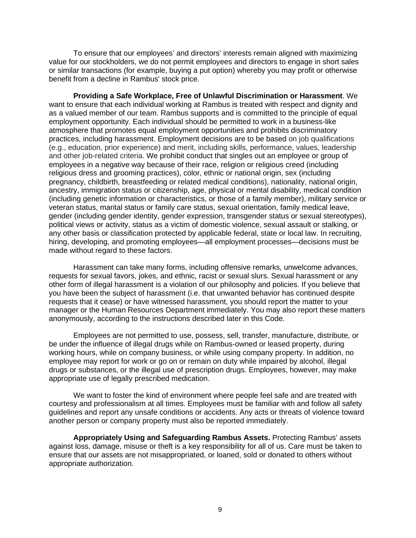To ensure that our employees' and directors' interests remain aligned with maximizing value for our stockholders, we do not permit employees and directors to engage in short sales or similar transactions (for example, buying a put option) whereby you may profit or otherwise benefit from a decline in Rambus' stock price.

**Providing a Safe Workplace, Free of Unlawful Discrimination or Harassment**. We want to ensure that each individual working at Rambus is treated with respect and dignity and as a valued member of our team. Rambus supports and is committed to the principle of equal employment opportunity. Each individual should be permitted to work in a business-like atmosphere that promotes equal employment opportunities and prohibits discriminatory practices, including harassment. Employment decisions are to be based on job qualifications (e.g., education, prior experience) and merit, including skills, performance, values, leadership and other job-related criteria. We prohibit conduct that singles out an employee or group of employees in a negative way because of their race, religion or religious creed (including religious dress and grooming practices), color, ethnic or national origin, sex (including pregnancy, childbirth, breastfeeding or related medical conditions), nationality, national origin, ancestry, immigration status or citizenship, age, physical or mental disability, medical condition (including genetic information or characteristics, or those of a family member), military service or veteran status, marital status or family care status, sexual orientation, family medical leave, gender (including gender identity, gender expression, transgender status or sexual stereotypes), political views or activity, status as a victim of domestic violence, sexual assault or stalking, or any other basis or classification protected by applicable federal, state or local law. In recruiting, hiring, developing, and promoting employees—all employment processes—decisions must be made without regard to these factors.

Harassment can take many forms, including offensive remarks, unwelcome advances, requests for sexual favors, jokes, and ethnic, racist or sexual slurs. Sexual harassment or any other form of illegal harassment is a violation of our philosophy and policies. If you believe that you have been the subject of harassment (i.e. that unwanted behavior has continued despite requests that it cease) or have witnessed harassment, you should report the matter to your manager or the Human Resources Department immediately. You may also report these matters anonymously, according to the instructions described later in this Code.

Employees are not permitted to use, possess, sell, transfer, manufacture, distribute, or be under the influence of illegal drugs while on Rambus-owned or leased property, during working hours, while on company business, or while using company property. In addition, no employee may report for work or go on or remain on duty while impaired by alcohol, illegal drugs or substances, or the illegal use of prescription drugs. Employees, however, may make appropriate use of legally prescribed medication.

We want to foster the kind of environment where people feel safe and are treated with courtesy and professionalism at all times. Employees must be familiar with and follow all safety guidelines and report any unsafe conditions or accidents. Any acts or threats of violence toward another person or company property must also be reported immediately.

**Appropriately Using and Safeguarding Rambus Assets.** Protecting Rambus' assets against loss, damage, misuse or theft is a key responsibility for all of us. Care must be taken to ensure that our assets are not misappropriated, or loaned, sold or donated to others without appropriate authorization.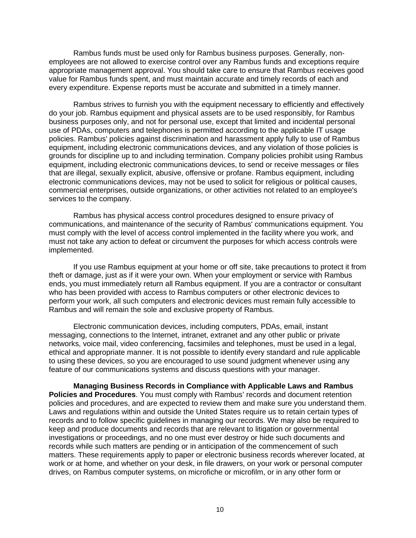Rambus funds must be used only for Rambus business purposes. Generally, nonemployees are not allowed to exercise control over any Rambus funds and exceptions require appropriate management approval. You should take care to ensure that Rambus receives good value for Rambus funds spent, and must maintain accurate and timely records of each and every expenditure. Expense reports must be accurate and submitted in a timely manner.

Rambus strives to furnish you with the equipment necessary to efficiently and effectively do your job. Rambus equipment and physical assets are to be used responsibly, for Rambus business purposes only, and not for personal use, except that limited and incidental personal use of PDAs, computers and telephones is permitted according to the applicable IT usage policies. Rambus' policies against discrimination and harassment apply fully to use of Rambus equipment, including electronic communications devices, and any violation of those policies is grounds for discipline up to and including termination. Company policies prohibit using Rambus equipment, including electronic communications devices, to send or receive messages or files that are illegal, sexually explicit, abusive, offensive or profane. Rambus equipment, including electronic communications devices, may not be used to solicit for religious or political causes, commercial enterprises, outside organizations, or other activities not related to an employee's services to the company.

Rambus has physical access control procedures designed to ensure privacy of communications, and maintenance of the security of Rambus' communications equipment. You must comply with the level of access control implemented in the facility where you work, and must not take any action to defeat or circumvent the purposes for which access controls were implemented.

If you use Rambus equipment at your home or off site, take precautions to protect it from theft or damage, just as if it were your own. When your employment or service with Rambus ends, you must immediately return all Rambus equipment. If you are a contractor or consultant who has been provided with access to Rambus computers or other electronic devices to perform your work, all such computers and electronic devices must remain fully accessible to Rambus and will remain the sole and exclusive property of Rambus.

Electronic communication devices, including computers, PDAs, email, instant messaging, connections to the Internet, intranet, extranet and any other public or private networks, voice mail, video conferencing, facsimiles and telephones, must be used in a legal, ethical and appropriate manner. It is not possible to identify every standard and rule applicable to using these devices, so you are encouraged to use sound judgment whenever using any feature of our communications systems and discuss questions with your manager.

**Managing Business Records in Compliance with Applicable Laws and Rambus Policies and Procedures**. You must comply with Rambus' records and document retention policies and procedures, and are expected to review them and make sure you understand them. Laws and regulations within and outside the United States require us to retain certain types of records and to follow specific guidelines in managing our records. We may also be required to keep and produce documents and records that are relevant to litigation or governmental investigations or proceedings, and no one must ever destroy or hide such documents and records while such matters are pending or in anticipation of the commencement of such matters. These requirements apply to paper or electronic business records wherever located, at work or at home, and whether on your desk, in file drawers, on your work or personal computer drives, on Rambus computer systems, on microfiche or microfilm, or in any other form or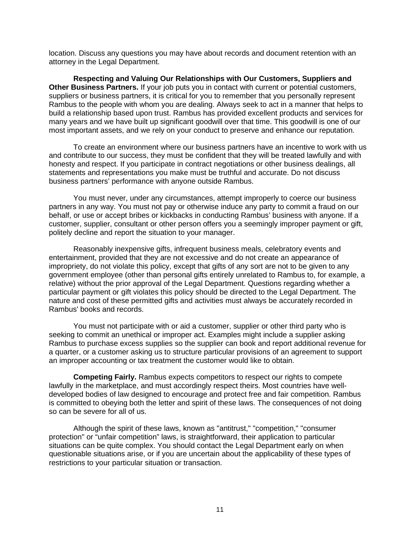location. Discuss any questions you may have about records and document retention with an attorney in the Legal Department.

**Respecting and Valuing Our Relationships with Our Customers, Suppliers and Other Business Partners.** If your job puts you in contact with current or potential customers, suppliers or business partners, it is critical for you to remember that you personally represent Rambus to the people with whom you are dealing. Always seek to act in a manner that helps to build a relationship based upon trust. Rambus has provided excellent products and services for many years and we have built up significant goodwill over that time. This goodwill is one of our most important assets, and we rely on your conduct to preserve and enhance our reputation.

To create an environment where our business partners have an incentive to work with us and contribute to our success, they must be confident that they will be treated lawfully and with honesty and respect. If you participate in contract negotiations or other business dealings, all statements and representations you make must be truthful and accurate. Do not discuss business partners' performance with anyone outside Rambus.

You must never, under any circumstances, attempt improperly to coerce our business partners in any way. You must not pay or otherwise induce any party to commit a fraud on our behalf, or use or accept bribes or kickbacks in conducting Rambus' business with anyone. If a customer, supplier, consultant or other person offers you a seemingly improper payment or gift, politely decline and report the situation to your manager.

Reasonably inexpensive gifts, infrequent business meals, celebratory events and entertainment, provided that they are not excessive and do not create an appearance of impropriety, do not violate this policy, except that gifts of any sort are not to be given to any government employee (other than personal gifts entirely unrelated to Rambus to, for example, a relative) without the prior approval of the Legal Department. Questions regarding whether a particular payment or gift violates this policy should be directed to the Legal Department. The nature and cost of these permitted gifts and activities must always be accurately recorded in Rambus' books and records.

You must not participate with or aid a customer, supplier or other third party who is seeking to commit an unethical or improper act. Examples might include a supplier asking Rambus to purchase excess supplies so the supplier can book and report additional revenue for a quarter, or a customer asking us to structure particular provisions of an agreement to support an improper accounting or tax treatment the customer would like to obtain.

**Competing Fairly.** Rambus expects competitors to respect our rights to compete lawfully in the marketplace, and must accordingly respect theirs. Most countries have welldeveloped bodies of law designed to encourage and protect free and fair competition. Rambus is committed to obeying both the letter and spirit of these laws. The consequences of not doing so can be severe for all of us.

Although the spirit of these laws, known as "antitrust," "competition," "consumer protection" or "unfair competition" laws, is straightforward, their application to particular situations can be quite complex. You should contact the Legal Department early on when questionable situations arise, or if you are uncertain about the applicability of these types of restrictions to your particular situation or transaction.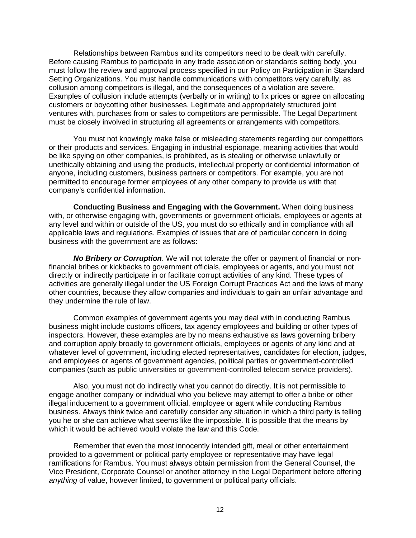Relationships between Rambus and its competitors need to be dealt with carefully. Before causing Rambus to participate in any trade association or standards setting body, you must follow the review and approval process specified in our Policy on Participation in Standard Setting Organizations. You must handle communications with competitors very carefully, as collusion among competitors is illegal, and the consequences of a violation are severe. Examples of collusion include attempts (verbally or in writing) to fix prices or agree on allocating customers or boycotting other businesses. Legitimate and appropriately structured joint ventures with, purchases from or sales to competitors are permissible. The Legal Department must be closely involved in structuring all agreements or arrangements with competitors.

You must not knowingly make false or misleading statements regarding our competitors or their products and services. Engaging in industrial espionage, meaning activities that would be like spying on other companies, is prohibited, as is stealing or otherwise unlawfully or unethically obtaining and using the products, intellectual property or confidential information of anyone, including customers, business partners or competitors. For example, you are not permitted to encourage former employees of any other company to provide us with that company's confidential information.

**Conducting Business and Engaging with the Government.** When doing business with, or otherwise engaging with, governments or government officials, employees or agents at any level and within or outside of the US, you must do so ethically and in compliance with all applicable laws and regulations. Examples of issues that are of particular concern in doing business with the government are as follows:

*No Bribery or Corruption*. We will not tolerate the offer or payment of financial or nonfinancial bribes or kickbacks to government officials, employees or agents, and you must not directly or indirectly participate in or facilitate corrupt activities of any kind. These types of activities are generally illegal under the US Foreign Corrupt Practices Act and the laws of many other countries, because they allow companies and individuals to gain an unfair advantage and they undermine the rule of law.

Common examples of government agents you may deal with in conducting Rambus business might include customs officers, tax agency employees and building or other types of inspectors. However, these examples are by no means exhaustive as laws governing bribery and corruption apply broadly to government officials, employees or agents of any kind and at whatever level of government, including elected representatives, candidates for election, judges, and employees or agents of government agencies, political parties or government-controlled companies (such as public universities or government-controlled telecom service providers).

Also, you must not do indirectly what you cannot do directly. It is not permissible to engage another company or individual who you believe may attempt to offer a bribe or other illegal inducement to a government official, employee or agent while conducting Rambus business. Always think twice and carefully consider any situation in which a third party is telling you he or she can achieve what seems like the impossible. It is possible that the means by which it would be achieved would violate the law and this Code.

Remember that even the most innocently intended gift, meal or other entertainment provided to a government or political party employee or representative may have legal ramifications for Rambus. You must always obtain permission from the General Counsel, the Vice President, Corporate Counsel or another attorney in the Legal Department before offering *anything* of value, however limited, to government or political party officials.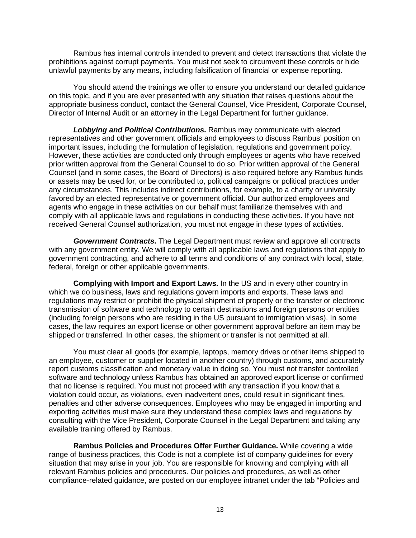Rambus has internal controls intended to prevent and detect transactions that violate the prohibitions against corrupt payments. You must not seek to circumvent these controls or hide unlawful payments by any means, including falsification of financial or expense reporting.

You should attend the trainings we offer to ensure you understand our detailed guidance on this topic, and if you are ever presented with any situation that raises questions about the appropriate business conduct, contact the General Counsel, Vice President, Corporate Counsel, Director of Internal Audit or an attorney in the Legal Department for further guidance.

*Lobbying and Political Contributions***.** Rambus may communicate with elected representatives and other government officials and employees to discuss Rambus' position on important issues, including the formulation of legislation, regulations and government policy. However, these activities are conducted only through employees or agents who have received prior written approval from the General Counsel to do so. Prior written approval of the General Counsel (and in some cases, the Board of Directors) is also required before any Rambus funds or assets may be used for, or be contributed to, political campaigns or political practices under any circumstances. This includes indirect contributions, for example, to a charity or university favored by an elected representative or government official. Our authorized employees and agents who engage in these activities on our behalf must familiarize themselves with and comply with all applicable laws and regulations in conducting these activities. If you have not received General Counsel authorization, you must not engage in these types of activities.

*Government Contracts***.** The Legal Department must review and approve all contracts with any government entity. We will comply with all applicable laws and regulations that apply to government contracting, and adhere to all terms and conditions of any contract with local, state, federal, foreign or other applicable governments.

**Complying with Import and Export Laws.** In the US and in every other country in which we do business, laws and regulations govern imports and exports. These laws and regulations may restrict or prohibit the physical shipment of property or the transfer or electronic transmission of software and technology to certain destinations and foreign persons or entities (including foreign persons who are residing in the US pursuant to immigration visas). In some cases, the law requires an export license or other government approval before an item may be shipped or transferred. In other cases, the shipment or transfer is not permitted at all.

You must clear all goods (for example, laptops, memory drives or other items shipped to an employee, customer or supplier located in another country) through customs, and accurately report customs classification and monetary value in doing so. You must not transfer controlled software and technology unless Rambus has obtained an approved export license or confirmed that no license is required. You must not proceed with any transaction if you know that a violation could occur, as violations, even inadvertent ones, could result in significant fines, penalties and other adverse consequences. Employees who may be engaged in importing and exporting activities must make sure they understand these complex laws and regulations by consulting with the Vice President, Corporate Counsel in the Legal Department and taking any available training offered by Rambus.

**Rambus Policies and Procedures Offer Further Guidance.** While covering a wide range of business practices, this Code is not a complete list of company guidelines for every situation that may arise in your job. You are responsible for knowing and complying with all relevant Rambus policies and procedures. Our policies and procedures, as well as other compliance-related guidance, are posted on our employee intranet under the tab "Policies and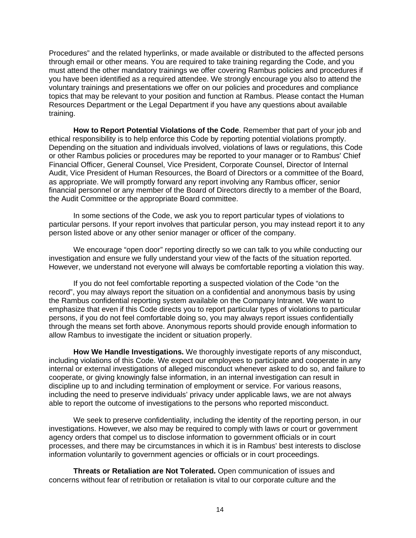Procedures" and the related hyperlinks, or made available or distributed to the affected persons through email or other means. You are required to take training regarding the Code, and you must attend the other mandatory trainings we offer covering Rambus policies and procedures if you have been identified as a required attendee. We strongly encourage you also to attend the voluntary trainings and presentations we offer on our policies and procedures and compliance topics that may be relevant to your position and function at Rambus. Please contact the Human Resources Department or the Legal Department if you have any questions about available training.

**How to Report Potential Violations of the Code**. Remember that part of your job and ethical responsibility is to help enforce this Code by reporting potential violations promptly. Depending on the situation and individuals involved, violations of laws or regulations, this Code or other Rambus policies or procedures may be reported to your manager or to Rambus' Chief Financial Officer, General Counsel, Vice President, Corporate Counsel, Director of Internal Audit, Vice President of Human Resources, the Board of Directors or a committee of the Board, as appropriate. We will promptly forward any report involving any Rambus officer, senior financial personnel or any member of the Board of Directors directly to a member of the Board, the Audit Committee or the appropriate Board committee.

In some sections of the Code, we ask you to report particular types of violations to particular persons. If your report involves that particular person, you may instead report it to any person listed above or any other senior manager or officer of the company.

We encourage "open door" reporting directly so we can talk to you while conducting our investigation and ensure we fully understand your view of the facts of the situation reported. However, we understand not everyone will always be comfortable reporting a violation this way.

If you do not feel comfortable reporting a suspected violation of the Code "on the record", you may always report the situation on a confidential and anonymous basis by using the Rambus confidential reporting system available on the Company Intranet. We want to emphasize that even if this Code directs you to report particular types of violations to particular persons, if you do not feel comfortable doing so, you may always report issues confidentially through the means set forth above. Anonymous reports should provide enough information to allow Rambus to investigate the incident or situation properly.

**How We Handle Investigations.** We thoroughly investigate reports of any misconduct, including violations of this Code. We expect our employees to participate and cooperate in any internal or external investigations of alleged misconduct whenever asked to do so, and failure to cooperate, or giving knowingly false information, in an internal investigation can result in discipline up to and including termination of employment or service. For various reasons, including the need to preserve individuals' privacy under applicable laws, we are not always able to report the outcome of investigations to the persons who reported misconduct.

We seek to preserve confidentiality, including the identity of the reporting person, in our investigations. However, we also may be required to comply with laws or court or government agency orders that compel us to disclose information to government officials or in court processes, and there may be circumstances in which it is in Rambus' best interests to disclose information voluntarily to government agencies or officials or in court proceedings.

**Threats or Retaliation are Not Tolerated.** Open communication of issues and concerns without fear of retribution or retaliation is vital to our corporate culture and the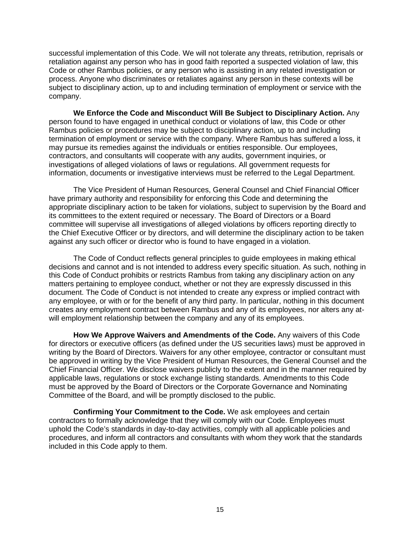successful implementation of this Code. We will not tolerate any threats, retribution, reprisals or retaliation against any person who has in good faith reported a suspected violation of law, this Code or other Rambus policies, or any person who is assisting in any related investigation or process. Anyone who discriminates or retaliates against any person in these contexts will be subject to disciplinary action, up to and including termination of employment or service with the company.

**We Enforce the Code and Misconduct Will Be Subject to Disciplinary Action.** Any person found to have engaged in unethical conduct or violations of law, this Code or other Rambus policies or procedures may be subject to disciplinary action, up to and including termination of employment or service with the company. Where Rambus has suffered a loss, it may pursue its remedies against the individuals or entities responsible. Our employees, contractors, and consultants will cooperate with any audits, government inquiries, or investigations of alleged violations of laws or regulations. All government requests for information, documents or investigative interviews must be referred to the Legal Department.

The Vice President of Human Resources, General Counsel and Chief Financial Officer have primary authority and responsibility for enforcing this Code and determining the appropriate disciplinary action to be taken for violations, subject to supervision by the Board and its committees to the extent required or necessary. The Board of Directors or a Board committee will supervise all investigations of alleged violations by officers reporting directly to the Chief Executive Officer or by directors, and will determine the disciplinary action to be taken against any such officer or director who is found to have engaged in a violation.

The Code of Conduct reflects general principles to guide employees in making ethical decisions and cannot and is not intended to address every specific situation. As such, nothing in this Code of Conduct prohibits or restricts Rambus from taking any disciplinary action on any matters pertaining to employee conduct, whether or not they are expressly discussed in this document. The Code of Conduct is not intended to create any express or implied contract with any employee, or with or for the benefit of any third party. In particular, nothing in this document creates any employment contract between Rambus and any of its employees, nor alters any atwill employment relationship between the company and any of its employees.

**How We Approve Waivers and Amendments of the Code.** Any waivers of this Code for directors or executive officers (as defined under the US securities laws) must be approved in writing by the Board of Directors. Waivers for any other employee, contractor or consultant must be approved in writing by the Vice President of Human Resources, the General Counsel and the Chief Financial Officer. We disclose waivers publicly to the extent and in the manner required by applicable laws, regulations or stock exchange listing standards. Amendments to this Code must be approved by the Board of Directors or the Corporate Governance and Nominating Committee of the Board, and will be promptly disclosed to the public.

**Confirming Your Commitment to the Code.** We ask employees and certain contractors to formally acknowledge that they will comply with our Code. Employees must uphold the Code's standards in day-to-day activities, comply with all applicable policies and procedures, and inform all contractors and consultants with whom they work that the standards included in this Code apply to them.